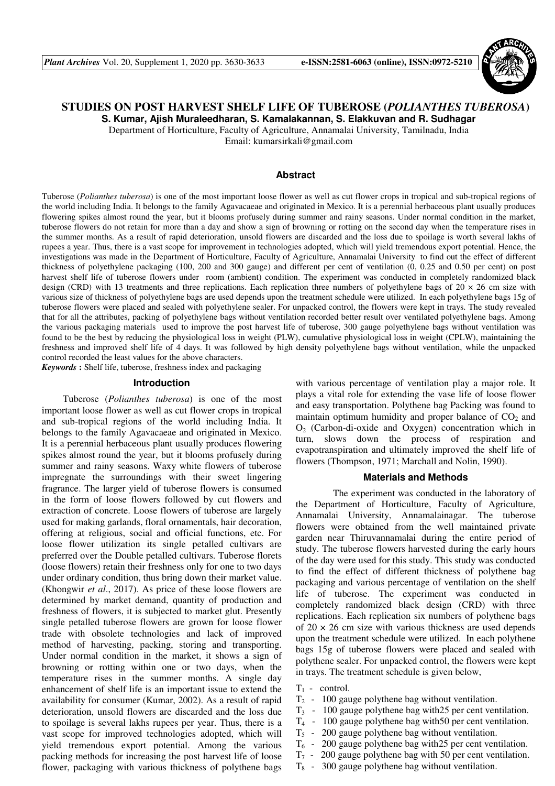

# **STUDIES ON POST HARVEST SHELF LIFE OF TUBEROSE (***POLIANTHES TUBEROSA***)**

**S. Kumar, Ajish Muraleedharan, S. Kamalakannan, S. Elakkuvan and R. Sudhagar** 

Department of Horticulture, Faculty of Agriculture, Annamalai University, Tamilnadu, India Email: kumarsirkali@gmail.com

### **Abstract**

Tuberose (*Polianthes tuberosa*) is one of the most important loose flower as well as cut flower crops in tropical and sub-tropical regions of the world including India. It belongs to the family Agavacaeae and originated in Mexico. It is a perennial herbaceous plant usually produces flowering spikes almost round the year, but it blooms profusely during summer and rainy seasons. Under normal condition in the market, tuberose flowers do not retain for more than a day and show a sign of browning or rotting on the second day when the temperature rises in the summer months. As a result of rapid deterioration, unsold flowers are discarded and the loss due to spoilage is worth several lakhs of rupees a year. Thus, there is a vast scope for improvement in technologies adopted, which will yield tremendous export potential. Hence, the investigations was made in the Department of Horticulture, Faculty of Agriculture, Annamalai University to find out the effect of different thickness of polyethylene packaging (100, 200 and 300 gauge) and different per cent of ventilation (0, 0.25 and 0.50 per cent) on post harvest shelf life of tuberose flowers under room (ambient) condition. The experiment was conducted in completely randomized black design (CRD) with 13 treatments and three replications. Each replication three numbers of polyethylene bags of  $20 \times 26$  cm size with various size of thickness of polyethylene bags are used depends upon the treatment schedule were utilized. In each polyethylene bags 15g of tuberose flowers were placed and sealed with polyethylene sealer. For unpacked control, the flowers were kept in trays. The study revealed that for all the attributes, packing of polyethylene bags without ventilation recorded better result over ventilated polyethylene bags. Among the various packaging materials used to improve the post harvest life of tuberose, 300 gauge polyethylene bags without ventilation was found to be the best by reducing the physiological loss in weight (PLW), cumulative physiological loss in weight (CPLW), maintaining the freshness and improved shelf life of 4 days. It was followed by high density polyethylene bags without ventilation, while the unpacked control recorded the least values for the above characters.

*Keywords* **:** Shelf life, tuberose, freshness index and packaging

# **Introduction**

Tuberose (*Polianthes tuberosa*) is one of the most important loose flower as well as cut flower crops in tropical and sub-tropical regions of the world including India. It belongs to the family Agavacaeae and originated in Mexico. It is a perennial herbaceous plant usually produces flowering spikes almost round the year, but it blooms profusely during summer and rainy seasons. Waxy white flowers of tuberose impregnate the surroundings with their sweet lingering fragrance. The larger yield of tuberose flowers is consumed in the form of loose flowers followed by cut flowers and extraction of concrete. Loose flowers of tuberose are largely used for making garlands, floral ornamentals, hair decoration, offering at religious, social and official functions, etc. For loose flower utilization its single petalled cultivars are preferred over the Double petalled cultivars. Tuberose florets (loose flowers) retain their freshness only for one to two days under ordinary condition, thus bring down their market value. (Khongwir *et al*., 2017). As price of these loose flowers are determined by market demand, quantity of production and freshness of flowers, it is subjected to market glut. Presently single petalled tuberose flowers are grown for loose flower trade with obsolete technologies and lack of improved method of harvesting, packing, storing and transporting. Under normal condition in the market, it shows a sign of browning or rotting within one or two days, when the temperature rises in the summer months. A single day enhancement of shelf life is an important issue to extend the availability for consumer (Kumar, 2002). As a result of rapid deterioration, unsold flowers are discarded and the loss due to spoilage is several lakhs rupees per year. Thus, there is a vast scope for improved technologies adopted, which will yield tremendous export potential. Among the various packing methods for increasing the post harvest life of loose flower, packaging with various thickness of polythene bags

with various percentage of ventilation play a major role. It plays a vital role for extending the vase life of loose flower and easy transportation. Polythene bag Packing was found to maintain optimum humidity and proper balance of  $CO<sub>2</sub>$  and  $O<sub>2</sub>$  (Carbon-di-oxide and Oxygen) concentration which in turn, slows down the process of respiration and evapotranspiration and ultimately improved the shelf life of flowers (Thompson, 1971; Marchall and Nolin, 1990).

## **Materials and Methods**

 The experiment was conducted in the laboratory of the Department of Horticulture, Faculty of Agriculture, Annamalai University, Annamalainagar. The tuberose flowers were obtained from the well maintained private garden near Thiruvannamalai during the entire period of study. The tuberose flowers harvested during the early hours of the day were used for this study. This study was conducted to find the effect of different thickness of polythene bag packaging and various percentage of ventilation on the shelf life of tuberose. The experiment was conducted in completely randomized black design (CRD) with three replications. Each replication six numbers of polythene bags of  $20 \times 26$  cm size with various thickness are used depends upon the treatment schedule were utilized. In each polythene bags 15g of tuberose flowers were placed and sealed with polythene sealer. For unpacked control, the flowers were kept in trays. The treatment schedule is given below,

- $T_1$  control.
- $T_2$  100 gauge polythene bag without ventilation.
- $T<sub>3</sub> 100$  gauge polythene bag with 25 per cent ventilation.
- $T_4$  100 gauge polythene bag with 50 per cent ventilation.
- $T<sub>5</sub>$  200 gauge polythene bag without ventilation.
- $T_6$  200 gauge polythene bag with 25 per cent ventilation.
- $T_7$  200 gauge polythene bag with 50 per cent ventilation.
- $T<sub>8</sub>$  300 gauge polythene bag without ventilation.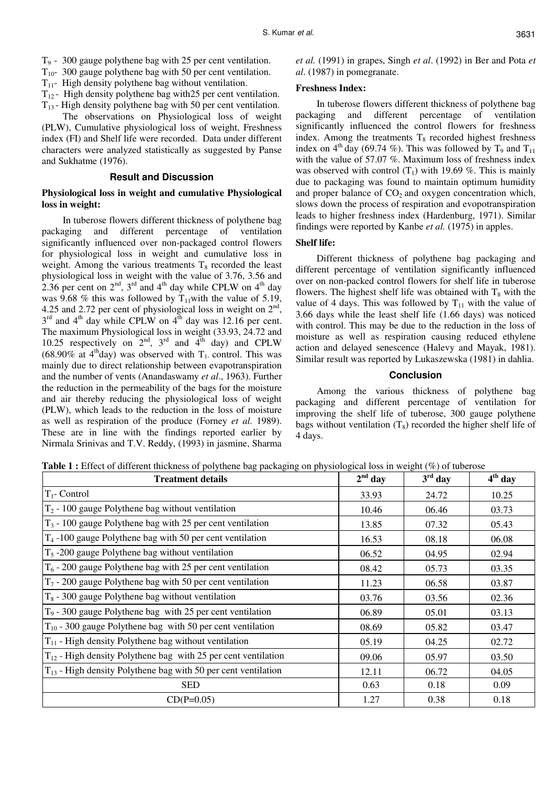- T9 300 gauge polythene bag with 25 per cent ventilation.
- $T_{10}$  300 gauge polythene bag with 50 per cent ventilation.
- $T_{11}$  High density polythene bag without ventilation.
- $T_{12}$  High density polythene bag with 25 per cent ventilation.
- $T_{13}$  High density polythene bag with 50 per cent ventilation.

The observations on Physiological loss of weight (PLW), Cumulative physiological loss of weight, Freshness index (FI) and Shelf life were recorded. Data under different characters were analyzed statistically as suggested by Panse and Sukhatme (1976).

## **Result and Discussion**

# **Physiological loss in weight and cumulative Physiological loss in weight:**

In tuberose flowers different thickness of polythene bag packaging and different percentage of ventilation significantly influenced over non-packaged control flowers for physiological loss in weight and cumulative loss in weight. Among the various treatments  $T_8$  recorded the least physiological loss in weight with the value of 3.76, 3.56 and 2.36 per cent on  $2<sup>nd</sup>$ ,  $3<sup>rd</sup>$  and  $4<sup>th</sup>$  day while CPLW on  $4<sup>th</sup>$  day was 9.68 % this was followed by  $T_{11}$ with the value of 5.19, 4.25 and 2.72 per cent of physiological loss in weight on  $2<sup>nd</sup>$ ,  $3<sup>rd</sup>$  and  $4<sup>th</sup>$  day while CPLW on  $4<sup>th</sup>$  day was 12.16 per cent. The maximum Physiological loss in weight (33.93, 24.72 and 10.25 respectively on  $2^{nd}$ ,  $3^{rd}$  and  $4^{th}$  day) and CPLW (68.90% at 4<sup>th</sup>day) was observed with  $T_1$  control. This was mainly due to direct relationship between evapotranspiration and the number of vents (Anandaswamy *et al*., 1963). Further the reduction in the permeability of the bags for the moisture and air thereby reducing the physiological loss of weight (PLW), which leads to the reduction in the loss of moisture as well as respiration of the produce (Forney *et al.* 1989). These are in line with the findings reported earlier by Nirmala Srinivas and T.V. Reddy, (1993) in jasmine, Sharma

*et al.* (1991) in grapes, Singh *et al*. (1992) in Ber and Pota *et al*. (1987) in pomegranate.

# **Freshness Index:**

In tuberose flowers different thickness of polythene bag packaging and different percentage of ventilation significantly influenced the control flowers for freshness index. Among the treatments  $T_8$  recorded highest freshness index on  $4<sup>th</sup>$  day (69.74 %). This was followed by T<sub>9</sub> and T<sub>11</sub> with the value of 57.07 %. Maximum loss of freshness index was observed with control  $(T_1)$  with 19.69 %. This is mainly due to packaging was found to maintain optimum humidity and proper balance of  $CO<sub>2</sub>$  and oxygen concentration which, slows down the process of respiration and evopotranspiration leads to higher freshness index (Hardenburg, 1971). Similar findings were reported by Kanbe *et al.* (1975) in apples.

# **Shelf life:**

Different thickness of polythene bag packaging and different percentage of ventilation significantly influenced over on non-packed control flowers for shelf life in tuberose flowers. The highest shelf life was obtained with  $T_8$  with the value of 4 days. This was followed by  $T_{11}$  with the value of 3.66 days while the least shelf life (1.66 days) was noticed with control. This may be due to the reduction in the loss of moisture as well as respiration causing reduced ethylene action and delayed senescence (Halevy and Mayak, 1981). Similar result was reported by Lukaszewska (1981) in dahlia.

## **Conclusion**

Among the various thickness of polythene bag packaging and different percentage of ventilation for improving the shelf life of tuberose, 300 gauge polythene bags without ventilation  $(T_8)$  recorded the higher shelf life of 4 days.

**Table 1 :** Effect of different thickness of polythene bag packaging on physiological loss in weight (%) of tuberose

| <b>Treatment details</b>                                              | $2nd$ day | $3rd$ day | $4th$ day |
|-----------------------------------------------------------------------|-----------|-----------|-----------|
| $T_1$ - Control                                                       | 33.93     | 24.72     | 10.25     |
| $T_2$ - 100 gauge Polythene bag without ventilation                   | 10.46     | 06.46     | 03.73     |
| $T_3$ - 100 gauge Polythene bag with 25 per cent ventilation          | 13.85     | 07.32     | 05.43     |
| $T_4$ -100 gauge Polythene bag with 50 per cent ventilation           | 16.53     | 08.18     | 06.08     |
| $T5$ -200 gauge Polythene bag without ventilation                     | 06.52     | 04.95     | 02.94     |
| $T_6$ - 200 gauge Polythene bag with 25 per cent ventilation          | 08.42     | 05.73     | 03.35     |
| $T_7$ - 200 gauge Polythene bag with 50 per cent ventilation          | 11.23     | 06.58     | 03.87     |
| $T_8$ - 300 gauge Polythene bag without ventilation                   | 03.76     | 03.56     | 02.36     |
| T <sub>9</sub> - 300 gauge Polythene bag with 25 per cent ventilation | 06.89     | 05.01     | 03.13     |
| $T_{10}$ - 300 gauge Polythene bag with 50 per cent ventilation       | 08.69     | 05.82     | 03.47     |
| $T_{11}$ - High density Polythene bag without ventilation             | 05.19     | 04.25     | 02.72     |
| $T_{12}$ - High density Polythene bag with 25 per cent ventilation    | 09.06     | 05.97     | 03.50     |
| $T_{13}$ - High density Polythene bag with 50 per cent ventilation    | 12.11     | 06.72     | 04.05     |
| <b>SED</b>                                                            | 0.63      | 0.18      | 0.09      |
| $CD(P=0.05)$                                                          | 1.27      | 0.38      | 0.18      |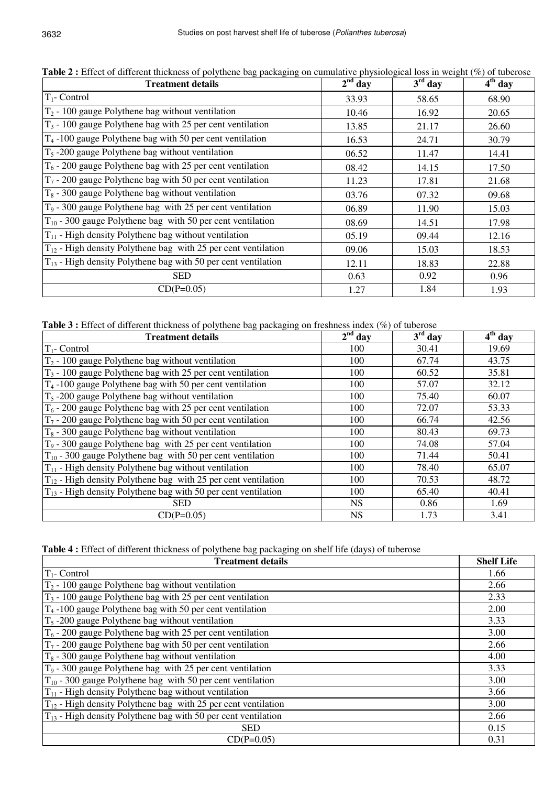| <b>Treatment details</b>                                           | $2nd$ day | $3rd$ day | $4th$ day |
|--------------------------------------------------------------------|-----------|-----------|-----------|
| $T_1$ - Control                                                    | 33.93     | 58.65     | 68.90     |
| $T_2$ - 100 gauge Polythene bag without ventilation                | 10.46     | 16.92     | 20.65     |
| $T_3$ - 100 gauge Polythene bag with 25 per cent ventilation       | 13.85     | 21.17     | 26.60     |
| $T_4$ -100 gauge Polythene bag with 50 per cent ventilation        | 16.53     | 24.71     | 30.79     |
| $T5$ -200 gauge Polythene bag without ventilation                  | 06.52     | 11.47     | 14.41     |
| $T_6$ - 200 gauge Polythene bag with 25 per cent ventilation       | 08.42     | 14.15     | 17.50     |
| $T_7$ - 200 gauge Polythene bag with 50 per cent ventilation       | 11.23     | 17.81     | 21.68     |
| $T_8$ - 300 gauge Polythene bag without ventilation                | 03.76     | 07.32     | 09.68     |
| $T9$ - 300 gauge Polythene bag with 25 per cent ventilation        | 06.89     | 11.90     | 15.03     |
| $T_{10}$ - 300 gauge Polythene bag with 50 per cent ventilation    | 08.69     | 14.51     | 17.98     |
| $T_{11}$ - High density Polythene bag without ventilation          | 05.19     | 09.44     | 12.16     |
| $T_{12}$ - High density Polythene bag with 25 per cent ventilation | 09.06     | 15.03     | 18.53     |
| $T_{13}$ - High density Polythene bag with 50 per cent ventilation | 12.11     | 18.83     | 22.88     |
| <b>SED</b>                                                         | 0.63      | 0.92      | 0.96      |
| $CD(P=0.05)$                                                       | 1.27      | 1.84      | 1.93      |

**Table 2 :** Effect of different thickness of polythene bag packaging on cumulative physiological loss in weight (%) of tuberose

**Table 3 :** Effect of different thickness of polythene bag packaging on freshness index (%) of tuberose

| <b>Treatment details</b>                                           | $2nd$ day | $3rd$ day | $4th$ day |
|--------------------------------------------------------------------|-----------|-----------|-----------|
| $T_1$ - Control                                                    | 100       | 30.41     | 19.69     |
| $T_2$ - 100 gauge Polythene bag without ventilation                | 100       | 67.74     | 43.75     |
| $T_3$ - 100 gauge Polythene bag with 25 per cent ventilation       | 100       | 60.52     | 35.81     |
| $T_4$ -100 gauge Polythene bag with 50 per cent ventilation        | 100       | 57.07     | 32.12     |
| $T_5$ -200 gauge Polythene bag without ventilation                 | 100       | 75.40     | 60.07     |
| $T_6$ - 200 gauge Polythene bag with 25 per cent ventilation       | 100       | 72.07     | 53.33     |
| $T_7$ - 200 gauge Polythene bag with 50 per cent ventilation       | 100       | 66.74     | 42.56     |
| $T_8$ - 300 gauge Polythene bag without ventilation                | 100       | 80.43     | 69.73     |
| $T_9$ - 300 gauge Polythene bag with 25 per cent ventilation       | 100       | 74.08     | 57.04     |
| $T_{10}$ - 300 gauge Polythene bag with 50 per cent ventilation    | 100       | 71.44     | 50.41     |
| $T_{11}$ - High density Polythene bag without ventilation          | 100       | 78.40     | 65.07     |
| $T_{12}$ - High density Polythene bag with 25 per cent ventilation | 100       | 70.53     | 48.72     |
| $T_{13}$ - High density Polythene bag with 50 per cent ventilation | 100       | 65.40     | 40.41     |
| <b>SED</b>                                                         | <b>NS</b> | 0.86      | 1.69      |
| $CD(P=0.05)$                                                       | NS.       | 1.73      | 3.41      |

**Table 4 :** Effect of different thickness of polythene bag packaging on shelf life (days) of tuberose

| <b>Treatment details</b>                                           | <b>Shelf Life</b> |
|--------------------------------------------------------------------|-------------------|
| $T_1$ - Control                                                    | 1.66              |
| $T_2$ - 100 gauge Polythene bag without ventilation                | 2.66              |
| $T_3$ - 100 gauge Polythene bag with 25 per cent ventilation       | 2.33              |
| $T_4$ -100 gauge Polythene bag with 50 per cent ventilation        | 2.00              |
| $T5$ -200 gauge Polythene bag without ventilation                  | 3.33              |
| $T_6$ - 200 gauge Polythene bag with 25 per cent ventilation       | 3.00              |
| $T_7$ - 200 gauge Polythene bag with 50 per cent ventilation       | 2.66              |
| $T_8$ - 300 gauge Polythene bag without ventilation                | 4.00              |
| $T_9$ - 300 gauge Polythene bag with 25 per cent ventilation       | 3.33              |
| $T_{10}$ - 300 gauge Polythene bag with 50 per cent ventilation    | 3.00              |
| $T_{11}$ - High density Polythene bag without ventilation          | 3.66              |
| $T_{12}$ - High density Polythene bag with 25 per cent ventilation | 3.00              |
| $T_{13}$ - High density Polythene bag with 50 per cent ventilation | 2.66              |
| <b>SED</b>                                                         | 0.15              |
| $CD(P=0.05)$                                                       | 0.31              |